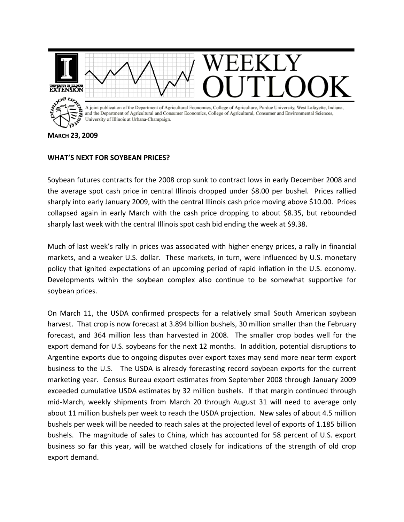

**MARCH 23, 2009**

## **WHAT'S NEXT FOR SOYBEAN PRICES?**

Soybean futures contracts for the 2008 crop sunk to contract lows in early December 2008 and the average spot cash price in central Illinois dropped under \$8.00 per bushel. Prices rallied sharply into early January 2009, with the central Illinois cash price moving above \$10.00. Prices collapsed again in early March with the cash price dropping to about \$8.35, but rebounded sharply last week with the central Illinois spot cash bid ending the week at \$9.38.

Much of last week's rally in prices was associated with higher energy prices, a rally in financial markets, and a weaker U.S. dollar. These markets, in turn, were influenced by U.S. monetary policy that ignited expectations of an upcoming period of rapid inflation in the U.S. economy. Developments within the soybean complex also continue to be somewhat supportive for soybean prices.

On March 11, the USDA confirmed prospects for a relatively small South American soybean harvest. That crop is now forecast at 3.894 billion bushels, 30 million smaller than the February forecast, and 364 million less than harvested in 2008. The smaller crop bodes well for the export demand for U.S. soybeans for the next 12 months. In addition, potential disruptions to Argentine exports due to ongoing disputes over export taxes may send more near term export business to the U.S. The USDA is already forecasting record soybean exports for the current marketing year. Census Bureau export estimates from September 2008 through January 2009 exceeded cumulative USDA estimates by 32 million bushels. If that margin continued through mid‐March, weekly shipments from March 20 through August 31 will need to average only about 11 million bushels per week to reach the USDA projection. New sales of about 4.5 million bushels per week will be needed to reach sales at the projected level of exports of 1.185 billion bushels. The magnitude of sales to China, which has accounted for 58 percent of U.S. export business so far this year, will be watched closely for indications of the strength of old crop export demand.